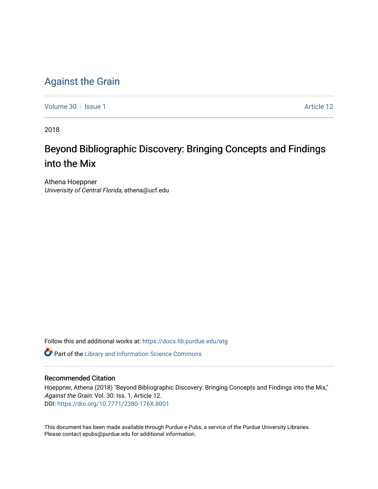### [Against the Grain](https://docs.lib.purdue.edu/atg)

[Volume 30](https://docs.lib.purdue.edu/atg/vol30) | [Issue 1](https://docs.lib.purdue.edu/atg/vol30/iss1) Article 12

2018

## Beyond Bibliographic Discovery: Bringing Concepts and Findings into the Mix

Athena Hoeppner Univerisity of Central Florida, athena@ucf.edu

Follow this and additional works at: [https://docs.lib.purdue.edu/atg](https://docs.lib.purdue.edu/atg?utm_source=docs.lib.purdue.edu%2Fatg%2Fvol30%2Fiss1%2F12&utm_medium=PDF&utm_campaign=PDFCoverPages)

**C** Part of the Library and Information Science Commons

### Recommended Citation

Hoeppner, Athena (2018) "Beyond Bibliographic Discovery: Bringing Concepts and Findings into the Mix," Against the Grain: Vol. 30: Iss. 1, Article 12. DOI:<https://doi.org/10.7771/2380-176X.8001>

This document has been made available through Purdue e-Pubs, a service of the Purdue University Libraries. Please contact epubs@purdue.edu for additional information.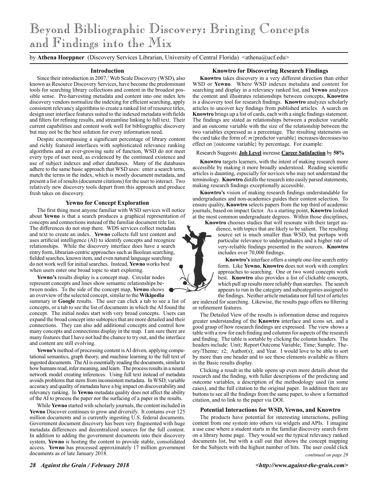# Beyond Bibliographic Discovery: Bringing Concepts and Findings into the Mix

by **Athena Hoeppner** (Discovery Services Librarian, University of Central Florida) <athena@ucf.edu>

#### **Introduction**

Since their introduction in 2007,<sup>1</sup> Web Scale Discovery (WSD), also known as Resource Discovery Services, have become the predominant tools for searching library collections and content in the broadest possible sense. Pre-harvesting metadata and content into one index lets discovery vendors normalize the indexing for efficient searching, apply consistent relevancy algorithms to create a ranked list of resource titles, design user interface features suited to the indexed metadata with fields and filters for refining results, and streamline linking to full text. Their current capabilities and content work well for bibliographic discovery but may not be the best solution for every information need.

Despite encompassing a significant percentage of library content and richly featured interfaces with sophisticated relevance ranking algorithms and an ever-growing suite of function, WSD do not meet every type of user need, as evidenced by the continued existence and use of subject indexes and other databases. Many of the databases adhere to the same basic approach that WSD uses: enter a search term, match the terms in the index, which is mostly document metadata, and present a list of results (document citations) for the user to interact. Two relatively new discovery tools depart from this approach and produce fresh takes on discovery.

#### **Yewno for Concept Exploration**

The first thing most anyone familiar with WSD services will notice about **Yewno** is that a search produces a graphical representation of concepts and connections instead of the familiar document title list. The differences do not stop there. WDS services collect metadata and text to create an index. **Yewno** collects full text content and uses artificial intelligence (AI) to identify concepts and recognize relationships. While the discovery interface does have a search entry form, librarian-centric approaches such as Boolean searching, fielded searches, known item, and even natural language searching do not work well for initial searches. Instead, **Yewno** works best when users enter one broad topic to start exploring.

**Yewno's** results display is a concept map. Circular nodes represent concepts and lines show semantic relationships between nodes. To the side of the concept map, **Yewno** shows an overview of the selected concept, similar to the **Wikipedia**

summary in **Google** results. The user can click a tab to see a list of concepts, or a tab to see the list of documents in which the AI found the concept. The initial nodes start with very broad concepts. Users can expand the broad concept into subtopics that are more detailed and their connections. They can also add additional concepts and control how many concepts and connections display in the map. I am sure there are many features that I have not had the chance to try out, and the interface and content are still evolving.

**Yewno's** method of processing content is AI driven, applying computational semantics, graph theory, and machine learning to the full text of ingested documents. The AI is essentially reading the documents, similar to how humans read, infer meaning, and learn. The process results in a neural network model creating inferences. Using full text instead of metadata avoids problems that stem from inconsistent metadata. In WSD, variable accuracy and quality of metadata have a big impact on discoverability and relevancy ranking. In **Yewno** metadata quality does not affect the ability of the AI to process the paper nor the surfacing of a paper in the results.

While **Yewno** started with scholarly journals, the content included in **Yewno** Discover continues to grow and diversify. It contains over 125 million documents and is currently ingesting U.S. federal documents. Government document discovery has been very fragmented with huge metadata differences and decentralized sources for the full content. In addition to adding the government documents into their discovery system, **Yewno** is hosting the content to provide stable, consolidated access. **Yewno** has processed approximately 17 million government documents as of late January 2018.

#### **Knowtro for Discovering Research Findings**

**Knowtro** takes discovery in a very different direction than either WSD or **Yewno**. Where WSD indexes metadata and content for searching and display in a relevancy ranked list, and **Yewno** analyzes the content and illustrates relationships between concepts, **Knowtro** is a discovery tool for research findings. **Knowtro** analyzes scholarly articles to uncover key findings from published articles. A search on **Knowtro** brings up a list of cards, each with a single findings statement. The findings are stated as relationships between a predictor variable and an outcome variable with the size of the relationship between the two variables expressed as a percentage. The resulting statements on the card take the form of: *m*{predictor variable} increases/decreases/no effect on {outcome variable} by percentage. For example:

#### Research Suggests: **Job Level** increase **Career Satisfaction** by **58%**

**Knowtro** targets learners, with the intent of making research more accessible by making it more broadly understood. Reading scientific articles is daunting, especially for novices who may not understand the terminology. **Knowtro** distills the research into easily parsed statements, making research findings exceptionally accessible.

**Knowtro's** vision of making research findings understandable for undergraduates and non-academics guides their content selection. To ensure quality, **Knowtro** selects papers from the top third of academic journals, based on impact factor. As a starting point, **Knowtro** looked at the most common undergraduate degrees. Within those disciplines,

**Knowtro** chooses studies that will resonate with their target au-

dience, with topics that are likely to be salient. The resulting source set is much smaller than WSD, but perhaps with particular relevance to undergraduates and a higher rate of very-reliable findings presented in the sources. **Knowtro** includes over 70,000 findings.

**Knowtro's** interface offers a simple one-line search entry form. Like **Yewno**, **Knowtro** does not work with complex approaches to searching. One or two word concepts work best. **Knowtro** also provides a list of clickable concepts, which pull up results more reliably than searches. The search appears to run in the category and subcategories assigned to the findings. Neither article metadata nor full text of articles

are indexed for searching. Likewise, the results page offers no filtering or refinement features.

The Detailed View of the results is information dense and requires greater understanding of the **Knowtro** interface and icons set, and a good grasp of how research findings are expressed. The view shows a table with a row for each finding and columns for aspects of the research and finding. The table is sortable by clicking the column headers. The headers include: Unit; Report Outcome Variable; Time; Sample; Theory/Theme; r2; Author(s); and Year. I would love to be able to sort by more than one header and to see these elements available as filters in the Basic results display.

Clicking a result in the table opens up even more details about the research and the finding, with fuller descriptions of the predicting and outcome variables, a description of the methodology used (in some cases), and the full citation to the original paper. In addition there are buttons to see all the findings from the same paper, to show a formatted citation, and to link to the paper via DOI.

#### **Potential Interactions for WSD, Yewno, and Knowtro**

The products have potential for interesting interactions, pulling content from one system into others via widgets and APIs. I imagine a use case where a student starts in the familiar discovery search form on a library home page. They would see the typical relevancy ranked documents list, but with a call out that shows the concept mapping for the Subjects with the highest number of hits. The user could click

*continued on page 29*